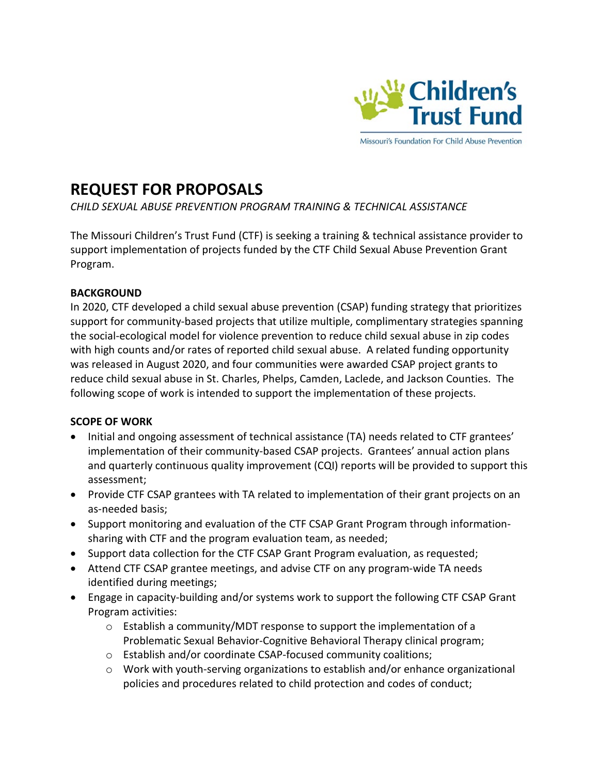

Missouri's Foundation For Child Abuse Prevention

# **REQUEST FOR PROPOSALS**

# *CHILD SEXUAL ABUSE PREVENTION PROGRAM TRAINING & TECHNICAL ASSISTANCE*

The Missouri Children's Trust Fund (CTF) is seeking a training & technical assistance provider to support implementation of projects funded by the CTF Child Sexual Abuse Prevention Grant Program.

# **BACKGROUND**

In 2020, CTF developed a child sexual abuse prevention (CSAP) funding strategy that prioritizes support for community-based projects that utilize multiple, complimentary strategies spanning the social-ecological model for violence prevention to reduce child sexual abuse in zip codes with high counts and/or rates of reported child sexual abuse. A related funding opportunity was released in August 2020, and four communities were awarded CSAP project grants to reduce child sexual abuse in St. Charles, Phelps, Camden, Laclede, and Jackson Counties. The following scope of work is intended to support the implementation of these projects.

# **SCOPE OF WORK**

- Initial and ongoing assessment of technical assistance (TA) needs related to CTF grantees' implementation of their community-based CSAP projects. Grantees' annual action plans and quarterly continuous quality improvement (CQI) reports will be provided to support this assessment;
- Provide CTF CSAP grantees with TA related to implementation of their grant projects on an as-needed basis;
- Support monitoring and evaluation of the CTF CSAP Grant Program through informationsharing with CTF and the program evaluation team, as needed;
- Support data collection for the CTF CSAP Grant Program evaluation, as requested;
- Attend CTF CSAP grantee meetings, and advise CTF on any program-wide TA needs identified during meetings;
- Engage in capacity-building and/or systems work to support the following CTF CSAP Grant Program activities:
	- $\circ$  Establish a community/MDT response to support the implementation of a Problematic Sexual Behavior-Cognitive Behavioral Therapy clinical program;
	- o Establish and/or coordinate CSAP-focused community coalitions;
	- o Work with youth-serving organizations to establish and/or enhance organizational policies and procedures related to child protection and codes of conduct;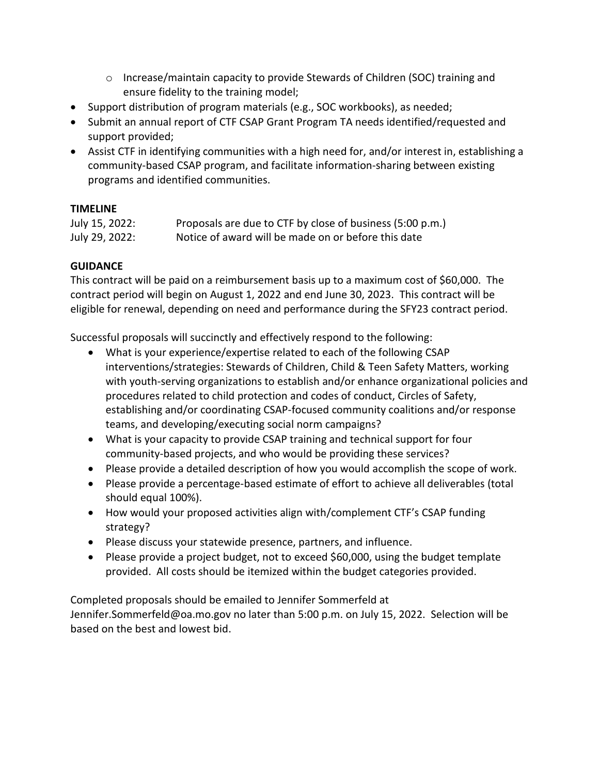- o Increase/maintain capacity to provide Stewards of Children (SOC) training and ensure fidelity to the training model;
- Support distribution of program materials (e.g., SOC workbooks), as needed;
- Submit an annual report of CTF CSAP Grant Program TA needs identified/requested and support provided;
- Assist CTF in identifying communities with a high need for, and/or interest in, establishing a community-based CSAP program, and facilitate information-sharing between existing programs and identified communities.

### **TIMELINE**

| July 15, 2022: | Proposals are due to CTF by close of business (5:00 p.m.) |
|----------------|-----------------------------------------------------------|
| July 29, 2022: | Notice of award will be made on or before this date       |

# **GUIDANCE**

This contract will be paid on a reimbursement basis up to a maximum cost of \$60,000. The contract period will begin on August 1, 2022 and end June 30, 2023. This contract will be eligible for renewal, depending on need and performance during the SFY23 contract period.

Successful proposals will succinctly and effectively respond to the following:

- What is your experience/expertise related to each of the following CSAP interventions/strategies: Stewards of Children, Child & Teen Safety Matters, working with youth-serving organizations to establish and/or enhance organizational policies and procedures related to child protection and codes of conduct, Circles of Safety, establishing and/or coordinating CSAP-focused community coalitions and/or response teams, and developing/executing social norm campaigns?
- What is your capacity to provide CSAP training and technical support for four community-based projects, and who would be providing these services?
- Please provide a detailed description of how you would accomplish the scope of work.
- Please provide a percentage-based estimate of effort to achieve all deliverables (total should equal 100%).
- How would your proposed activities align with/complement CTF's CSAP funding strategy?
- Please discuss your statewide presence, partners, and influence.
- Please provide a project budget, not to exceed \$60,000, using the budget template provided. All costs should be itemized within the budget categories provided.

Completed proposals should be emailed to Jennifer Sommerfeld at Jennifer.Sommerfeld@oa.mo.gov no later than 5:00 p.m. on July 15, 2022. Selection will be based on the best and lowest bid.